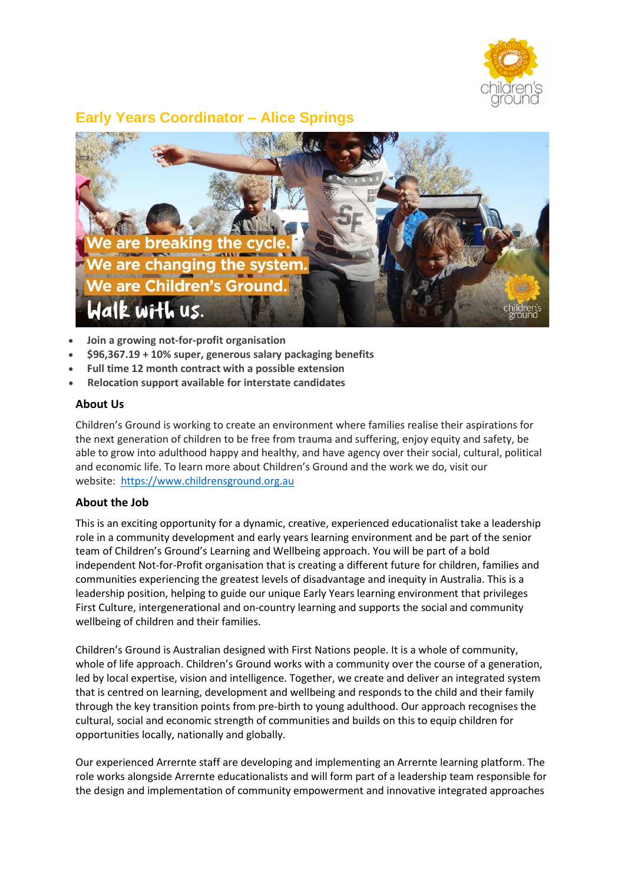

# **Early Years Coordinator – Alice Springs**



- **Join a growing not-for-profit organisation**
- **\$96,367.19 + 10% super, generous salary packaging benefits**
- **Full time 12 month contract with a possible extension**
- **Relocation support available for interstate candidates**

#### **About Us**

Children's Ground is working to create an environment where families realise their aspirations for the next generation of children to be free from trauma and suffering, enjoy equity and safety, be able to grow into adulthood happy and healthy, and have agency over their social, cultural, political and economic life. To learn more about Children's Ground and the work we do, visit our website: [https://www.childrensground.org.au](https://www.childrensground.org.au/)

### **About the Job**

This is an exciting opportunity for a dynamic, creative, experienced educationalist take a leadership role in a community development and early years learning environment and be part of the senior team of Children's Ground's Learning and Wellbeing approach. You will be part of a bold independent Not-for-Profit organisation that is creating a different future for children, families and communities experiencing the greatest levels of disadvantage and inequity in Australia. This is a leadership position, helping to guide our unique Early Years learning environment that privileges First Culture, intergenerational and on-country learning and supports the social and community wellbeing of children and their families.

Children's Ground is Australian designed with First Nations people. It is a whole of community, whole of life approach. Children's Ground works with a community over the course of a generation, led by local expertise, vision and intelligence. Together, we create and deliver an integrated system that is centred on learning, development and wellbeing and responds to the child and their family through the key transition points from pre-birth to young adulthood. Our approach recognises the cultural, social and economic strength of communities and builds on this to equip children for opportunities locally, nationally and globally.

Our experienced Arrernte staff are developing and implementing an Arrernte learning platform. The role works alongside Arrernte educationalists and will form part of a leadership team responsible for the design and implementation of community empowerment and innovative integrated approaches